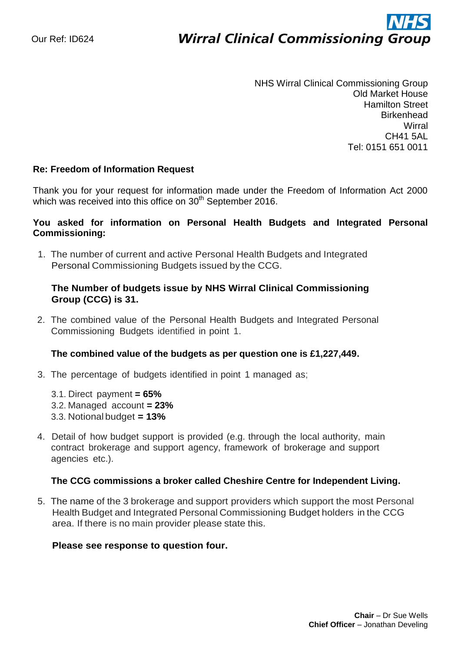# ì **Wirral Clinical Commissioning Group**

NHS Wirral Clinical Commissioning Group Old Market House Hamilton Street **Birkenhead Wirral** CH41 5AL Tel: 0151 651 0011

#### **Re: Freedom of Information Request**

Thank you for your request for information made under the Freedom of Information Act 2000 which was received into this office on 30<sup>th</sup> September 2016.

### **You asked for information on Personal Health Budgets and Integrated Personal Commissioning:**

1. The number of current and active Personal Health Budgets and Integrated Personal Commissioning Budgets issued by the CCG.

## **The Number of budgets issue by NHS Wirral Clinical Commissioning Group (CCG) is 31.**

2. The combined value of the Personal Health Budgets and Integrated Personal Commissioning Budgets identified in point 1.

#### **The combined value of the budgets as per question one is £1,227,449.**

- 3. The percentage of budgets identified in point 1 managed as;
	- 3.1. Direct payment **= 65%**
	- 3.2. Managed account **= 23%**
	- 3.3. Notional budget **= 13%**
- 4. Detail of how budget support is provided (e.g. through the local authority, main contract brokerage and support agency, framework of brokerage and support agencies etc.).

#### **The CCG commissions a broker called Cheshire Centre for Independent Living.**

5. The name of the 3 brokerage and support providers which support the most Personal Health Budget and Integrated Personal Commissioning Budget holders in the CCG area. If there is no main provider please state this.

#### **Please see response to question four.**